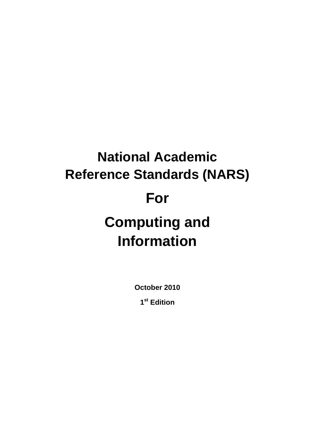# **National Academic Reference Standards (NARS) For Computing and Information**

**October 2010** 

**1st Edition**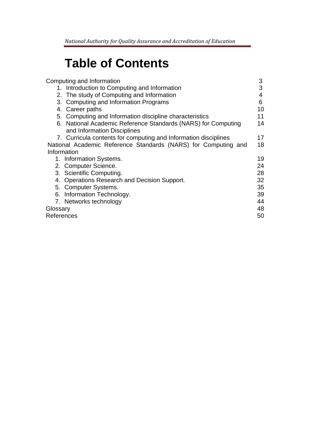# **Table of Contents**

| Computing and Information                                       | 3  |
|-----------------------------------------------------------------|----|
| 1. Introduction to Computing and Information                    | 3  |
| 2. The study of Computing and Information                       | 4  |
| 3. Computing and Information Programs                           | 6  |
| 4. Career paths                                                 | 10 |
| 5. Computing and Information discipline characteristics         | 11 |
| 6. National Academic Reference Standards (NARS) for Computing   | 14 |
| and Information Disciplines                                     |    |
| 7. Curricula contents for computing and Information disciplines | 17 |
| National Academic Reference Standards (NARS) for Computing and  | 18 |
| Information                                                     |    |
| 1. Information Systems.                                         | 19 |
| 2. Computer Science.                                            | 24 |
| 3. Scientific Computing.                                        | 28 |
| 4. Operations Research and Decision Support.                    | 32 |
| 5. Computer Systems.                                            | 35 |
| 6. Information Technology.                                      | 39 |
| 7. Networks technology                                          | 44 |
| Glossary                                                        |    |
| References                                                      | 50 |
|                                                                 |    |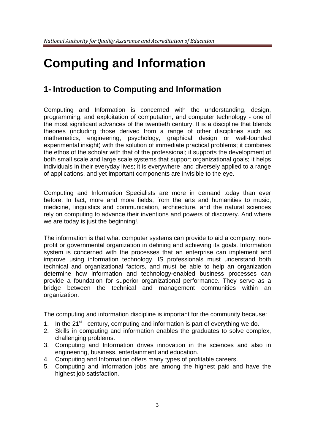# **Computing and Information**

# **1- Introduction to Computing and Information**

Computing and Information is concerned with the understanding, design, programming, and exploitation of computation, and computer technology - one of the most significant advances of the twentieth century. It is a discipline that blends theories (including those derived from a range of other disciplines such as mathematics, engineering, psychology, graphical design or well-founded experimental insight) with the solution of immediate practical problems; it combines the ethos of the scholar with that of the professional; it supports the development of both small scale and large scale systems that support organizational goals; it helps individuals in their everyday lives; it is everywhere and diversely applied to a range of applications, and yet important components are invisible to the eye.

Computing and Information Specialists are more in demand today than ever before. In fact, more and more fields, from the arts and humanities to music, medicine, linguistics and communication, architecture, and the natural sciences rely on computing to advance their inventions and powers of discovery. And where we are today is just the beginning!.

The information is that what computer systems can provide to aid a company, nonprofit or governmental organization in defining and achieving its goals. Information system is concerned with the processes that an enterprise can implement and improve using information technology. IS professionals must understand both technical and organizational factors, and must be able to help an organization determine how information and technology-enabled business processes can provide a foundation for superior organizational performance. They serve as a bridge between the technical and management communities within an organization.

The computing and information discipline is important for the community because:

- 1. In the  $21<sup>st</sup>$  century, computing and information is part of everything we do.
- 2. Skills in computing and information enables the graduates to solve complex, challenging problems.
- 3. Computing and Information drives innovation in the sciences and also in engineering, business, entertainment and education.
- 4. Computing and Information offers many types of profitable careers.
- 5. Computing and Information jobs are among the highest paid and have the highest job satisfaction.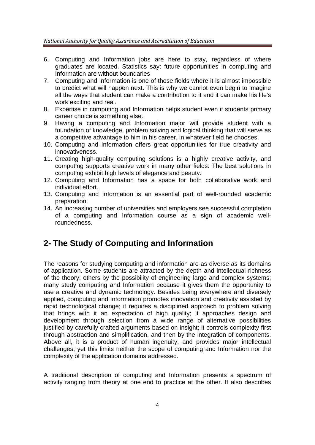- 6. Computing and Information jobs are here to stay, regardless of where graduates are located. Statistics say: future opportunities in computing and Information are without boundaries
- 7. Computing and Information is one of those fields where it is almost impossible to predict what will happen next. This is why we cannot even begin to imagine all the ways that student can make a contribution to it and it can make his life's work exciting and real.
- 8. Expertise in computing and Information helps student even if students primary career choice is something else.
- 9. Having a computing and Information major will provide student with a foundation of knowledge, problem solving and logical thinking that will serve as a competitive advantage to him in his career, in whatever field he chooses.
- 10. Computing and Information offers great opportunities for true creativity and innovativeness.
- 11. Creating high-quality computing solutions is a highly creative activity, and computing supports creative work in many other fields. The best solutions in computing exhibit high levels of elegance and beauty.
- 12. Computing and Information has a space for both collaborative work and individual effort.
- 13. Computing and Information is an essential part of well-rounded academic preparation.
- 14. An increasing number of universities and employers see successful completion of a computing and Information course as a sign of academic wellroundedness.

# **2- The Study of Computing and Information**

The reasons for studying computing and information are as diverse as its domains of application. Some students are attracted by the depth and intellectual richness of the theory, others by the possibility of engineering large and complex systems; many study computing and Information because it gives them the opportunity to use a creative and dynamic technology. Besides being everywhere and diversely applied, computing and Information promotes innovation and creativity assisted by rapid technological change; it requires a disciplined approach to problem solving that brings with it an expectation of high quality; it approaches design and development through selection from a wide range of alternative possibilities justified by carefully crafted arguments based on insight; it controls complexity first through abstraction and simplification, and then by the integration of components. Above all, it is a product of human ingenuity, and provides major intellectual challenges; yet this limits neither the scope of computing and Information nor the complexity of the application domains addressed.

A traditional description of computing and Information presents a spectrum of activity ranging from theory at one end to practice at the other. It also describes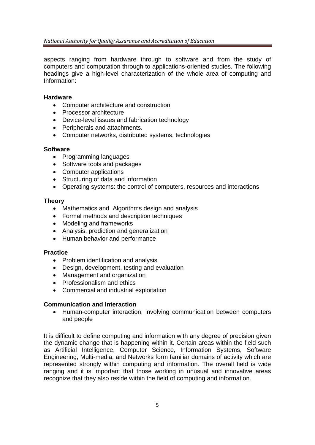aspects ranging from hardware through to software and from the study of computers and computation through to applications-oriented studies. The following headings give a high-level characterization of the whole area of computing and Information:

#### **Hardware**

- Computer architecture and construction
- Processor architecture
- Device-level issues and fabrication technology
- Peripherals and attachments.
- Computer networks, distributed systems, technologies

#### **Software**

- Programming languages
- Software tools and packages
- Computer applications
- Structuring of data and information
- Operating systems: the control of computers, resources and interactions

#### **Theory**

- Mathematics and Algorithms design and analysis
- Formal methods and description techniques
- Modeling and frameworks
- Analysis, prediction and generalization
- Human behavior and performance

#### **Practice**

- Problem identification and analysis
- Design, development, testing and evaluation
- Management and organization
- Professionalism and ethics
- Commercial and industrial exploitation

#### **Communication and Interaction**

 Human-computer interaction, involving communication between computers and people

It is difficult to define computing and information with any degree of precision given the dynamic change that is happening within it. Certain areas within the field such as Artificial Intelligence, Computer Science, Information Systems, Software Engineering, Multi-media, and Networks form familiar domains of activity which are represented strongly within computing and information. The overall field is wide ranging and it is important that those working in unusual and innovative areas recognize that they also reside within the field of computing and information.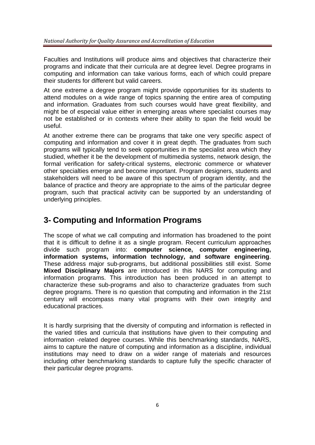Faculties and Institutions will produce aims and objectives that characterize their programs and indicate that their curricula are at degree level. Degree programs in computing and information can take various forms, each of which could prepare their students for different but valid careers.

At one extreme a degree program might provide opportunities for its students to attend modules on a wide range of topics spanning the entire area of computing and information. Graduates from such courses would have great flexibility, and might be of especial value either in emerging areas where specialist courses may not be established or in contexts where their ability to span the field would be useful.

At another extreme there can be programs that take one very specific aspect of computing and information and cover it in great depth. The graduates from such programs will typically tend to seek opportunities in the specialist area which they studied, whether it be the development of multimedia systems, network design, the formal verification for safety-critical systems, electronic commerce or whatever other specialties emerge and become important. Program designers, students and stakeholders will need to be aware of this spectrum of program identity, and the balance of practice and theory are appropriate to the aims of the particular degree program, such that practical activity can be supported by an understanding of underlying principles.

# **3- Computing and Information Programs**

The scope of what we call computing and information has broadened to the point that it is difficult to define it as a single program. Recent curriculum approaches divide such program into: **computer science, computer engineering, information systems, information technology, and software engineering**. These address major sub-programs, but additional possibilities still exist. Some **Mixed Disciplinary Majors** are introduced in this NARS for computing and information programs. This introduction has been produced in an attempt to characterize these sub-programs and also to characterize graduates from such degree programs. There is no question that computing and information in the 21st century will encompass many vital programs with their own integrity and educational practices.

It is hardly surprising that the diversity of computing and information is reflected in the varied titles and curricula that institutions have given to their computing and information -related degree courses. While this benchmarking standards, NARS, aims to capture the nature of computing and information as a discipline, individual institutions may need to draw on a wider range of materials and resources including other benchmarking standards to capture fully the specific character of their particular degree programs.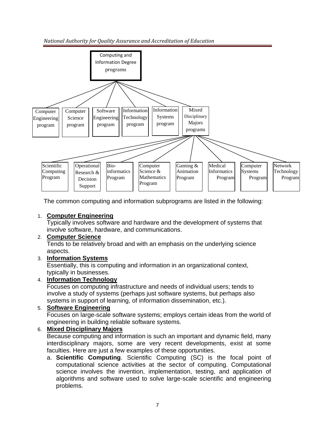

The common computing and information subprograms are listed in the following:

#### 1. **Computer Engineering**

Typically involves software and hardware and the development of systems that involve software, hardware, and communications.

#### 2. **Computer Science**

Tends to be relatively broad and with an emphasis on the underlying science aspects.

#### 3. **Information Systems**

Essentially, this is computing and information in an organizational context, typically in businesses.

#### 4. **Information Technology**

Focuses on computing infrastructure and needs of individual users; tends to involve a study of systems (perhaps just software systems, but perhaps also systems in support of learning, of information dissemination, etc.).

#### 5. **Software Engineering**

Focuses on large-scale software systems; employs certain ideas from the world of engineering in building reliable software systems.

#### 6. **Mixed Disciplinary Majors**

Because computing and information is such an important and dynamic field, many interdisciplinary majors, some are very recent developments, exist at some faculties. Here are just a few examples of these opportunities.

a. **Scientific Computing**. Scientific Computing (SC) is the focal point of computational science activities at the sector of computing. Computational science involves the invention, implementation, testing, and application of algorithms and software used to solve large-scale scientific and engineering problems.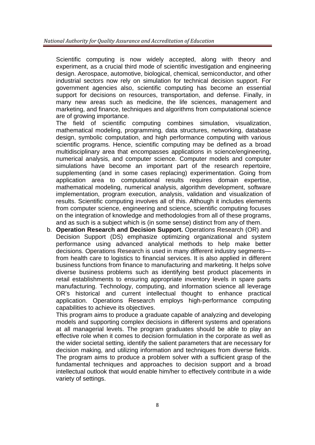Scientific computing is now widely accepted, along with theory and experiment, as a crucial third mode of scientific investigation and engineering design. Aerospace, automotive, biological, chemical, semiconductor, and other industrial sectors now rely on simulation for technical decision support. For government agencies also, scientific computing has become an essential support for decisions on resources, transportation, and defense. Finally, in many new areas such as medicine, the life sciences, management and marketing, and finance, techniques and algorithms from computational science are of growing importance.

The field of scientific computing combines simulation, visualization, mathematical modeling, programming, data structures, networking, database design, symbolic computation, and high performance computing with various scientific programs. Hence, scientific computing may be defined as a broad multidisciplinary area that encompasses applications in science/engineering, numerical analysis, and computer science. Computer models and computer simulations have become an important part of the research repertoire, supplementing (and in some cases replacing) experimentation. Going from application area to computational results requires domain expertise, mathematical modeling, numerical analysis, algorithm development, software implementation, program execution, analysis, validation and visualization of results. Scientific computing involves all of this. Although it includes elements from computer science, engineering and science, scientific computing focuses on the integration of knowledge and methodologies from all of these programs, and as such is a subject which is (in some sense) distinct from any of them.

b. **Operation Research and Decision Support.** Operations Research (OR) and Decision Support (DS) emphasize optimizing organizational and system performance using advanced analytical methods to help make better decisions. Operations Research is used in many different industry segments from health care to logistics to financial services. It is also applied in different business functions from finance to manufacturing and marketing. It helps solve diverse business problems such as identifying best product placements in retail establishments to ensuring appropriate inventory levels in spare parts manufacturing. Technology, computing, and information science all leverage OR's historical and current intellectual thought to enhance practical application. Operations Research employs high-performance computing capabilities to achieve its objectives.

This program aims to produce a graduate capable of analyzing and developing models and supporting complex decisions in different systems and operations at all managerial levels. The program graduates should be able to play an effective role when it comes to decision formulation in the corporate as well as the wider societal setting, identify the salient parameters that are necessary for decision making, and utilizing information and techniques from diverse fields. The program aims to produce a problem solver with a sufficient grasp of the fundamental techniques and approaches to decision support and a broad intellectual outlook that would enable him/her to effectively contribute in a wide variety of settings.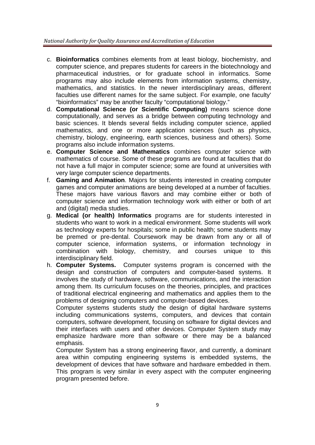- c. **Bioinformatics** combines elements from at least biology, biochemistry, and computer science, and prepares students for careers in the biotechnology and pharmaceutical industries, or for graduate school in informatics. Some programs may also include elements from information systems, chemistry, mathematics, and statistics. In the newer interdisciplinary areas, different faculties use different names for the same subject. For example, one faculty' "bioinformatics" may be another faculty "computational biology."
- d. **Computational Science (or Scientific Computing)** means science done computationally, and serves as a bridge between computing technology and basic sciences. It blends several fields including computer science, applied mathematics, and one or more application sciences (such as physics, chemistry, biology, engineering, earth sciences, business and others). Some programs also include information systems.
- e. **Computer Science and Mathematics** combines computer science with mathematics of course. Some of these programs are found at faculties that do not have a full major in computer science; some are found at universities with very large computer science departments.
- f. **Gaming and Animation**. Majors for students interested in creating computer games and computer animations are being developed at a number of faculties. These majors have various flavors and may combine either or both of computer science and information technology work with either or both of art and (digital) media studies.
- g. **Medical (or health) Informatics** programs are for students interested in students who want to work in a medical environment. Some students will work as technology experts for hospitals; some in public health; some students may be premed or pre-dental. Coursework may be drawn from any or all of computer science, information systems, or information technology in combination with biology, chemistry, and courses unique to this interdisciplinary field.
- h. **Computer Systems.** Computer systems program is concerned with the design and construction of computers and computer-based systems. It involves the study of hardware, software, communications, and the interaction among them. Its curriculum focuses on the theories, principles, and practices of traditional electrical engineering and mathematics and applies them to the problems of designing computers and computer-based devices.

Computer systems students study the design of digital hardware systems including communications systems, computers, and devices that contain computers, software development, focusing on software for digital devices and their interfaces with users and other devices. Computer System study may emphasize hardware more than software or there may be a balanced emphasis.

Computer System has a strong engineering flavor, and currently, a dominant area within computing engineering systems is embedded systems, the development of devices that have software and hardware embedded in them. This program is very similar in every aspect with the computer engineering program presented before.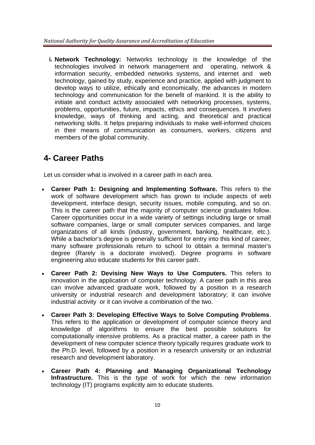**i. Network Technology:** Networks technology is the knowledge of the technologies involved in network management and operating, network & information security, embedded networks systems, and internet and web technology, gained by study, experience and practice, applied with judgment to develop ways to utilize, ethically and economically, the advances in modern technology and communication for the benefit of mankind. It is the ability to initiate and conduct activity associated with networking processes, systems, problems, opportunities, future, impacts, ethics and consequences. It involves knowledge, ways of thinking and acting, and theoretical and practical networking skills. It helps preparing individuals to make well-informed choices in their means of communication as consumers, workers, citizens and members of the global community.

# **4- Career Paths**

Let us consider what is involved in a career path in each area.

- **Career Path 1: Designing and Implementing Software.** This refers to the work of software development which has grown to include aspects of web development, interface design, security issues, mobile computing, and so on. This is the career path that the majority of computer science graduates follow. Career opportunities occur in a wide variety of settings including large or small software companies, large or small computer services companies, and large organizations of all kinds (industry, government, banking, healthcare, etc.). While a bachelor's degree is generally sufficient for entry into this kind of career, many software professionals return to school to obtain a terminal master's degree (Rarely is a doctorate involved). Degree programs in software engineering also educate students for this career path.
- **Career Path 2: Devising New Ways to Use Computers.** This refers to innovation in the application of computer technology. A career path in this area can involve advanced graduate work, followed by a position in a research university or industrial research and development laboratory; it can involve industrial activity or it can involve a combination of the two.
- **Career Path 3: Developing Effective Ways to Solve Computing Problems**. This refers to the application or development of computer science theory and knowledge of algorithms to ensure the best possible solutions for computationally intensive problems. As a practical matter, a career path in the development of new computer science theory typically requires graduate work to the Ph.D. level, followed by a position in a research university or an industrial research and development laboratory.
- **Career Path 4: Planning and Managing Organizational Technology Infrastructure.** This is the type of work for which the new information technology (IT) programs explicitly aim to educate students.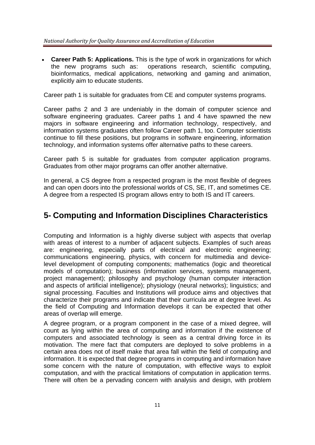#### *National Authority for Quality Assurance and Accreditation of Education*

 **Career Path 5: Applications.** This is the type of work in organizations for which the new programs such as: operations research, scientific computing, bioinformatics, medical applications, networking and gaming and animation, explicitly aim to educate students.

Career path 1 is suitable for graduates from CE and computer systems programs.

Career paths 2 and 3 are undeniably in the domain of computer science and software engineering graduates. Career paths 1 and 4 have spawned the new majors in software engineering and information technology, respectively, and information systems graduates often follow Career path 1, too. Computer scientists continue to fill these positions, but programs in software engineering, information technology, and information systems offer alternative paths to these careers.

Career path 5 is suitable for graduates from computer application programs. Graduates from other major programs can offer another alternative.

In general, a CS degree from a respected program is the most flexible of degrees and can open doors into the professional worlds of CS, SE, IT, and sometimes CE. A degree from a respected IS program allows entry to both IS and IT careers.

# **5- Computing and Information Disciplines Characteristics**

Computing and Information is a highly diverse subject with aspects that overlap with areas of interest to a number of adjacent subjects. Examples of such areas are: engineering, especially parts of electrical and electronic engineering; communications engineering, physics, with concern for multimedia and devicelevel development of computing components; mathematics (logic and theoretical models of computation); business (information services, systems management, project management); philosophy and psychology (human computer interaction and aspects of artificial intelligence); physiology (neural networks); linguistics; and signal processing. Faculties and Institutions will produce aims and objectives that characterize their programs and indicate that their curricula are at degree level. As the field of Computing and Information develops it can be expected that other areas of overlap will emerge.

A degree program, or a program component in the case of a mixed degree, will count as lying within the area of computing and information if the existence of computers and associated technology is seen as a central driving force in its motivation. The mere fact that computers are deployed to solve problems in a certain area does not of itself make that area fall within the field of computing and information. It is expected that degree programs in computing and information have some concern with the nature of computation, with effective ways to exploit computation, and with the practical limitations of computation in application terms. There will often be a pervading concern with analysis and design, with problem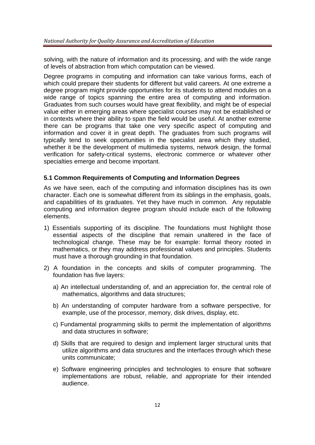solving, with the nature of information and its processing, and with the wide range of levels of abstraction from which computation can be viewed.

Degree programs in computing and information can take various forms, each of which could prepare their students for different but valid careers. At one extreme a degree program might provide opportunities for its students to attend modules on a wide range of topics spanning the entire area of computing and information. Graduates from such courses would have great flexibility, and might be of especial value either in emerging areas where specialist courses may not be established or in contexts where their ability to span the field would be useful. At another extreme there can be programs that take one very specific aspect of computing and information and cover it in great depth. The graduates from such programs will typically tend to seek opportunities in the specialist area which they studied, whether it be the development of multimedia systems, network design, the formal verification for safety-critical systems, electronic commerce or whatever other specialties emerge and become important.

#### **5.1 Common Requirements of Computing and Information Degrees**

As we have seen, each of the computing and information disciplines has its own character. Each one is somewhat different from its siblings in the emphasis, goals, and capabilities of its graduates. Yet they have much in common. Any reputable computing and information degree program should include each of the following elements.

- 1) Essentials supporting of its discipline. The foundations must highlight those essential aspects of the discipline that remain unaltered in the face of technological change. These may be for example: formal theory rooted in mathematics, or they may address professional values and principles. Students must have a thorough grounding in that foundation.
- 2) A foundation in the concepts and skills of computer programming. The foundation has five layers:
	- a) An intellectual understanding of, and an appreciation for, the central role of mathematics, algorithms and data structures;
	- b) An understanding of computer hardware from a software perspective, for example, use of the processor, memory, disk drives, display, etc.
	- c) Fundamental programming skills to permit the implementation of algorithms and data structures in software;
	- d) Skills that are required to design and implement larger structural units that utilize algorithms and data structures and the interfaces through which these units communicate;
	- e) Software engineering principles and technologies to ensure that software implementations are robust, reliable, and appropriate for their intended audience.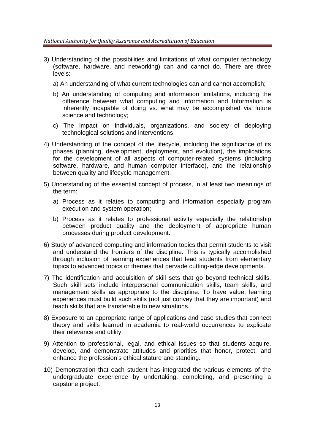- 3) Understanding of the possibilities and limitations of what computer technology (software, hardware, and networking) can and cannot do. There are three levels:
	- a) An understanding of what current technologies can and cannot accomplish;
	- b) An understanding of computing and information limitations, including the difference between what computing and information and Information is inherently incapable of doing vs. what may be accomplished via future science and technology;
	- c) The impact on individuals, organizations, and society of deploying technological solutions and interventions.
- 4) Understanding of the concept of the lifecycle, including the significance of its phases (planning, development, deployment, and evolution), the implications for the development of all aspects of computer-related systems (including software, hardware, and human computer interface), and the relationship between quality and lifecycle management.
- 5) Understanding of the essential concept of process, in at least two meanings of the term:
	- a) Process as it relates to computing and information especially program execution and system operation;
	- b) Process as it relates to professional activity especially the relationship between product quality and the deployment of appropriate human processes during product development.
- 6) Study of advanced computing and information topics that permit students to visit and understand the frontiers of the discipline. This is typically accomplished through inclusion of learning experiences that lead students from elementary topics to advanced topics or themes that pervade cutting-edge developments.
- 7) The identification and acquisition of skill sets that go beyond technical skills. Such skill sets include interpersonal communication skills, team skills, and management skills as appropriate to the discipline. To have value, learning experiences must build such skills (not just convey that they are important) and teach skills that are transferable to new situations.
- 8) Exposure to an appropriate range of applications and case studies that connect theory and skills learned in academia to real-world occurrences to explicate their relevance and utility.
- 9) Attention to professional, legal, and ethical issues so that students acquire, develop, and demonstrate attitudes and priorities that honor, protect, and enhance the profession's ethical stature and standing.
- 10) Demonstration that each student has integrated the various elements of the undergraduate experience by undertaking, completing, and presenting a capstone project.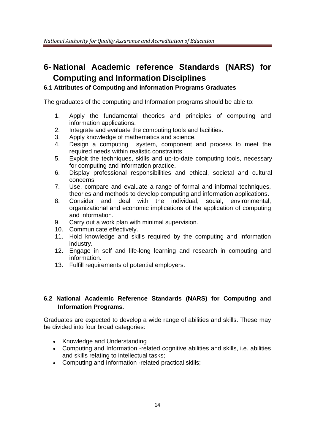# **6- National Academic reference Standards (NARS) for Computing and Information Disciplines**

#### **6.1 Attributes of Computing and Information Programs Graduates**

The graduates of the computing and Information programs should be able to:

- 1. Apply the fundamental theories and principles of computing and information applications.
- 2. Integrate and evaluate the computing tools and facilities.
- 3. Apply knowledge of mathematics and science.
- 4. Design a computing system, component and process to meet the required needs within realistic constraints
- 5. Exploit the techniques, skills and up-to-date computing tools, necessary for computing and information practice.
- 6. Display professional responsibilities and ethical, societal and cultural concerns
- 7. Use, compare and evaluate a range of formal and informal techniques, theories and methods to develop computing and information applications.
- 8. Consider and deal with the individual, social, environmental, organizational and economic implications of the application of computing and information.
- 9. Carry out a work plan with minimal supervision.
- 10. Communicate effectively.
- 11. Hold knowledge and skills required by the computing and information industry.
- 12. Engage in self and life-long learning and research in computing and information.
- 13. Fulfill requirements of potential employers.

#### **6.2 National Academic Reference Standards (NARS) for Computing and Information Programs.**

Graduates are expected to develop a wide range of abilities and skills. These may be divided into four broad categories:

- Knowledge and Understanding
- Computing and Information -related cognitive abilities and skills, i.e. abilities and skills relating to intellectual tasks;
- Computing and Information -related practical skills;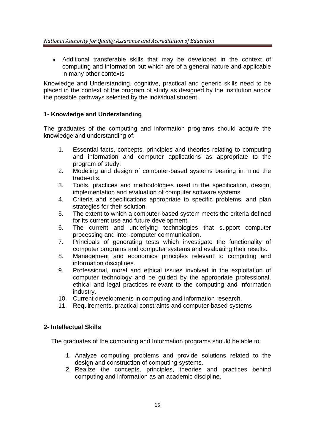Additional transferable skills that may be developed in the context of computing and information but which are of a general nature and applicable in many other contexts

Knowledge and Understanding, cognitive, practical and generic skills need to be placed in the context of the program of study as designed by the institution and/or the possible pathways selected by the individual student.

#### **1- Knowledge and Understanding**

The graduates of the computing and information programs should acquire the knowledge and understanding of:

- 1. Essential facts, concepts, principles and theories relating to computing and information and computer applications as appropriate to the program of study.
- 2. Modeling and design of computer-based systems bearing in mind the trade-offs.
- 3. Tools, practices and methodologies used in the specification, design, implementation and evaluation of computer software systems.
- 4. Criteria and specifications appropriate to specific problems, and plan strategies for their solution.
- 5. The extent to which a computer-based system meets the criteria defined for its current use and future development.
- 6. The current and underlying technologies that support computer processing and inter-computer communication.
- 7. Principals of generating tests which investigate the functionality of computer programs and computer systems and evaluating their results.
- 8. Management and economics principles relevant to computing and information disciplines.
- 9. Professional, moral and ethical issues involved in the exploitation of computer technology and be guided by the appropriate professional, ethical and legal practices relevant to the computing and information industry.
- 10. Current developments in computing and information research.
- 11. Requirements, practical constraints and computer-based systems

#### **2- Intellectual Skills**

The graduates of the computing and Information programs should be able to:

- 1. Analyze computing problems and provide solutions related to the design and construction of computing systems.
- 2. Realize the concepts, principles, theories and practices behind computing and information as an academic discipline.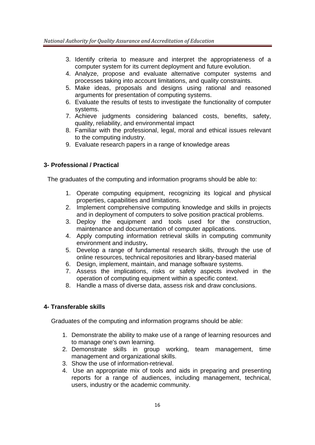- 3. Identify criteria to measure and interpret the appropriateness of a computer system for its current deployment and future evolution.
- 4. Analyze, propose and evaluate alternative computer systems and processes taking into account limitations, and quality constraints.
- 5. Make ideas, proposals and designs using rational and reasoned arguments for presentation of computing systems.
- 6. Evaluate the results of tests to investigate the functionality of computer systems.
- 7. Achieve judgments considering balanced costs, benefits, safety, quality, reliability, and environmental impact
- 8. Familiar with the professional, legal, moral and ethical issues relevant to the computing industry.
- 9. Evaluate research papers in a range of knowledge areas

#### **3- Professional / Practical**

The graduates of the computing and information programs should be able to:

- 1. Operate computing equipment, recognizing its logical and physical properties, capabilities and limitations.
- 2. Implement comprehensive computing knowledge and skills in projects and in deployment of computers to solve position practical problems.
- 3. Deploy the equipment and tools used for the construction, maintenance and documentation of computer applications.
- 4. Apply computing information retrieval skills in computing community environment and industry**.**
- 5. Develop a range of fundamental research skills, through the use of online resources, technical repositories and library-based material
- 6. Design, implement, maintain, and manage software systems.
- 7. Assess the implications, risks or safety aspects involved in the operation of computing equipment within a specific context.
- 8. Handle a mass of diverse data, assess risk and draw conclusions.

#### **4- Transferable skills**

Graduates of the computing and information programs should be able:

- 1. Demonstrate the ability to make use of a range of learning resources and to manage one's own learning.
- 2. Demonstrate skills in group working, team management, time management and organizational skills.
- 3. Show the use of information-retrieval.
- 4. Use an appropriate mix of tools and aids in preparing and presenting reports for a range of audiences, including management, technical, users, industry or the academic community.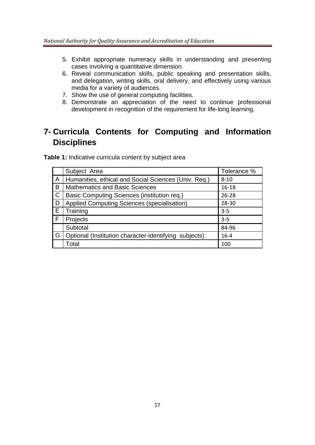- 5. Exhibit appropriate numeracy skills in understanding and presenting cases involving a quantitative dimension.
- 6. Reveal communication skills, public speaking and presentation skills, and delegation, writing skills, oral delivery, and effectively using various media for a variety of audiences.
- 7. Show the use of general computing facilities.
- 8. Demonstrate an appreciation of the need to continue professional development in recognition of the requirement for life-long learning.

# **7- Curricula Contents for Computing and Information Disciplines**

Table 1: Indicative curricula content by subject area

|                         | Subject Area                                          | Tolerance % |
|-------------------------|-------------------------------------------------------|-------------|
| A                       | Humanities, ethical and Social Sciences (Univ. Req.)  | $8 - 10$    |
| B                       | <b>Mathematics and Basic Sciences</b>                 | $16 - 18$   |
| $\overline{\mathsf{C}}$ | Basic Computing Sciences (institution req.)           | $26 - 28$   |
| D                       | Applied Computing Sciences (specialisation)           | 28-30       |
| E                       | Training                                              | $3 - 5$     |
| F                       | Projects                                              | $3 - 5$     |
|                         | Subtotal                                              | 84-96       |
| G                       | Optional (Institution character-identifying subjects) | $16 - 4$    |
|                         | Total                                                 | 100         |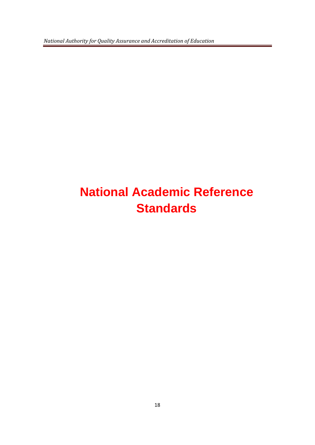*National Authority for Quality Assurance and Accreditation of Education* 

# **National Academic Reference Standards**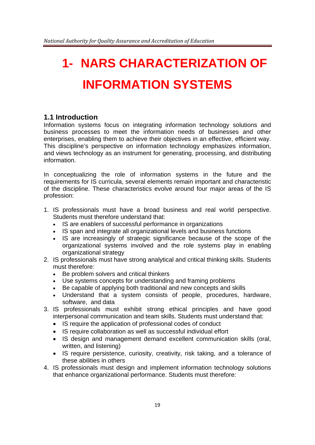# **1- NARS CHARACTERIZATION OF INFORMATION SYSTEMS**

#### **1.1 Introduction**

Information systems focus on integrating information technology solutions and business processes to meet the information needs of businesses and other enterprises, enabling them to achieve their objectives in an effective, efficient way. This discipline's perspective on information technology emphasizes information, and views technology as an instrument for generating, processing, and distributing information.

In conceptualizing the role of information systems in the future and the requirements for IS curricula, several elements remain important and characteristic of the discipline. These characteristics evolve around four major areas of the IS profession:

- 1. IS professionals must have a broad business and real world perspective. Students must therefore understand that:
	- IS are enablers of successful performance in organizations
	- IS span and integrate all organizational levels and business functions
	- IS are increasingly of strategic significance because of the scope of the organizational systems involved and the role systems play in enabling organizational strategy
- 2. IS professionals must have strong analytical and critical thinking skills. Students must therefore:
	- Be problem solvers and critical thinkers
	- Use systems concepts for understanding and framing problems
	- Be capable of applying both traditional and new concepts and skills
	- Understand that a system consists of people, procedures, hardware, software, and data
- 3. IS professionals must exhibit strong ethical principles and have good interpersonal communication and team skills. Students must understand that:
	- IS require the application of professional codes of conduct
	- IS require collaboration as well as successful individual effort
	- IS design and management demand excellent communication skills (oral, written, and listening)
	- IS require persistence, curiosity, creativity, risk taking, and a tolerance of these abilities in others
- 4. IS professionals must design and implement information technology solutions that enhance organizational performance. Students must therefore: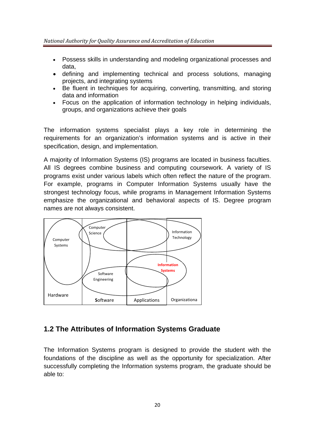- Possess skills in understanding and modeling organizational processes and data,
- defining and implementing technical and process solutions, managing projects, and integrating systems
- Be fluent in techniques for acquiring, converting, transmitting, and storing data and information
- Focus on the application of information technology in helping individuals, groups, and organizations achieve their goals

The information systems specialist plays a key role in determining the requirements for an organization's information systems and is active in their specification, design, and implementation.

A majority of Information Systems (IS) programs are located in business faculties. All IS degrees combine business and computing coursework. A variety of IS programs exist under various labels which often reflect the nature of the program. For example, programs in Computer Information Systems usually have the strongest technology focus, while programs in Management Information Systems emphasize the organizational and behavioral aspects of IS. Degree program names are not always consistent.

![](_page_19_Figure_7.jpeg)

### **1.2 The Attributes of Information Systems Graduate**

The Information Systems program is designed to provide the student with the foundations of the discipline as well as the opportunity for specialization. After successfully completing the Information systems program, the graduate should be able to: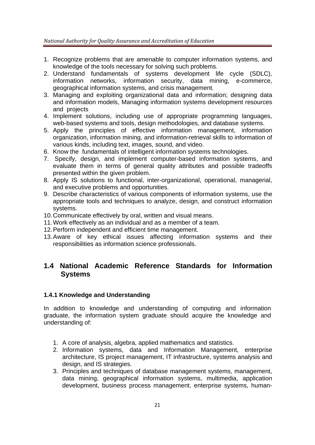- 1. Recognize problems that are amenable to computer information systems, and knowledge of the tools necessary for solving such problems.
- 2. Understand fundamentals of systems development life cycle (SDLC), information networks, information security, data mining, e-commerce, geographical information systems, and crisis management.
- 3. Managing and exploiting organizational data and information; designing data and information models, Managing information systems development resources and projects
- 4. Implement solutions, including use of appropriate programming languages, web-based systems and tools, design methodologies, and database systems.
- 5. Apply the principles of effective information management, information organization, information mining, and information-retrieval skills to information of various kinds, including text, images, sound, and video.
- 6. Know the fundamentals of intelligent information systems technologies.
- 7. Specify, design, and implement computer-based information systems, and evaluate them in terms of general quality attributes and possible tradeoffs presented within the given problem.
- 8. Apply IS solutions to functional, inter-organizational, operational, managerial, and executive problems and opportunities.
- 9. Describe characteristics of various components of information systems, use the appropriate tools and techniques to analyze, design, and construct information systems.
- 10. Communicate effectively by oral, written and visual means.
- 11. Work effectively as an individual and as a member of a team.
- 12. Perform independent and efficient time management.
- 13. Aware of key ethical issues affecting information systems and their responsibilities as information science professionals.

#### **1.4 National Academic Reference Standards for Information Systems**

#### **1.4.1 Knowledge and Understanding**

In addition to knowledge and understanding of computing and information graduate, the information system graduate should acquire the knowledge and understanding of:

- 1. A core of analysis, algebra, applied mathematics and statistics.
- 2. Information systems, data and Information Management, enterprise architecture, IS project management, IT infrastructure, systems analysis and design, and IS strategies.
- 3. Principles and techniques of database management systems, management, data mining, geographical information systems, multimedia, application development, business process management, enterprise systems, human-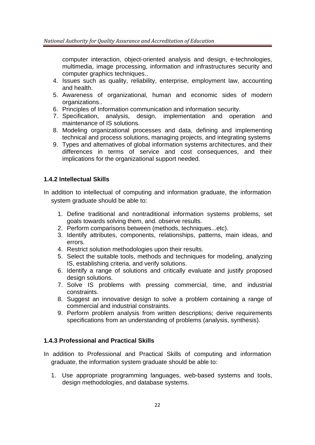computer interaction, object-oriented analysis and design, e-technologies, multimedia, image processing, information and infrastructures security and computer graphics techniques..

- 4. Issues such as quality, reliability, enterprise, employment law, accounting and health.
- 5. Awareness of organizational, human and economic sides of modern organizations..
- 6. Principles of Information communication and information security.
- 7. Specification, analysis, design, implementation and operation and maintenance of IS solutions.
- 8. Modeling organizational processes and data, defining and implementing technical and process solutions, managing projects, and integrating systems
- 9. Types and alternatives of global information systems architectures, and their differences in terms of service and cost consequences, and their implications for the organizational support needed.

#### **1.4.2 Intellectual Skills**

- In addition to intellectual of computing and information graduate, the information system graduate should be able to:
	- 1. Define traditional and nontraditional information systems problems, set goals towards solving them, and. observe results.
	- 2. Perform comparisons between (methods, techniques...etc).
	- 3. Identify attributes, components, relationships, patterns, main ideas, and errors.
	- 4. Restrict solution methodologies upon their results.
	- 5. Select the suitable tools, methods and techniques for modeling, analyzing IS, establishing criteria, and verify solutions.
	- 6. Identify a range of solutions and critically evaluate and justify proposed design solutions.
	- 7. Solve IS problems with pressing commercial, time, and industrial constraints.
	- 8. Suggest an innovative design to solve a problem containing a range of commercial and industrial constraints.
	- 9. Perform problem analysis from written descriptions; derive requirements specifications from an understanding of problems (analysis, synthesis).

#### **1.4.3 Professional and Practical Skills**

- In addition to Professional and Practical Skills of computing and information graduate, the information system graduate should be able to:
	- 1. Use appropriate programming languages, web-based systems and tools, design methodologies, and database systems.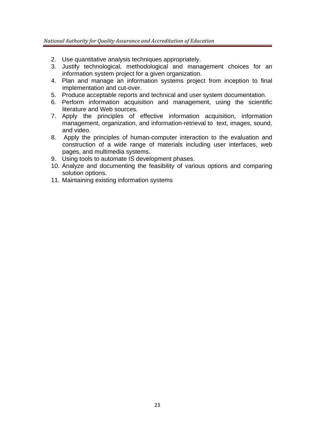- 2. Use quantitative analysis techniques appropriately.
- 3. Justify technological, methodological and management choices for an information system project for a given organization.
- 4. Plan and manage an information systems project from inception to final implementation and cut-over.
- 5. Produce acceptable reports and technical and user system documentation.
- 6. Perform information acquisition and management, using the scientific literature and Web sources.
- 7. Apply the principles of effective information acquisition, information management, organization, and information-retrieval to text, images, sound, and video.
- 8. Apply the principles of human-computer interaction to the evaluation and construction of a wide range of materials including user interfaces, web pages, and multimedia systems.
- 9. Using tools to automate IS development phases.
- 10. Analyze and documenting the feasibility of various options and comparing solution options.
- 11. Maintaining existing information systems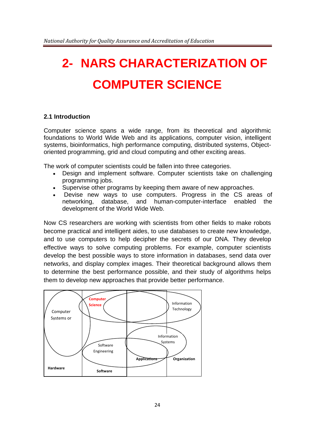# **2- NARS CHARACTERIZATION OF COMPUTER SCIENCE**

#### **2.1 Introduction**

Computer science spans a wide range, from its theoretical and algorithmic foundations to World Wide Web and its applications, computer vision, intelligent systems, bioinformatics, high performance computing, distributed systems, Objectoriented programming, grid and cloud computing and other exciting areas.

The work of computer scientists could be fallen into three categories.

- Design and implement software. Computer scientists take on challenging programming jobs.
- Supervise other programs by keeping them aware of new approaches.
- Devise new ways to use computers. Progress in the CS areas of networking, database, and human-computer-interface enabled the development of the World Wide Web.

Now CS researchers are working with scientists from other fields to make robots become practical and intelligent aides, to use databases to create new knowledge, and to use computers to help decipher the secrets of our DNA. They develop effective ways to solve computing problems. For example, computer scientists develop the best possible ways to store information in databases, send data over networks, and display complex images. Their theoretical background allows them to determine the best performance possible, and their study of algorithms helps them to develop new approaches that provide better performance.

![](_page_23_Figure_9.jpeg)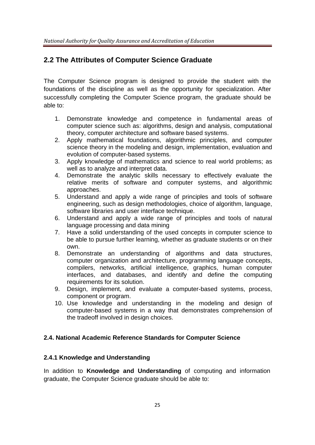## **2.2 The Attributes of Computer Science Graduate**

The Computer Science program is designed to provide the student with the foundations of the discipline as well as the opportunity for specialization. After successfully completing the Computer Science program, the graduate should be able to:

- 1. Demonstrate knowledge and competence in fundamental areas of computer science such as: algorithms, design and analysis, computational theory, computer architecture and software based systems.
- 2. Apply mathematical foundations, algorithmic principles, and computer science theory in the modeling and design, implementation, evaluation and evolution of computer-based systems.
- 3. Apply knowledge of mathematics and science to real world problems; as well as to analyze and interpret data.
- 4. Demonstrate the analytic skills necessary to effectively evaluate the relative merits of software and computer systems, and algorithmic approaches.
- 5. Understand and apply a wide range of principles and tools of software engineering, such as design methodologies, choice of algorithm, language, software libraries and user interface technique.
- 6. Understand and apply a wide range of principles and tools of natural language processing and data mining
- 7. Have a solid understanding of the used concepts in computer science to be able to pursue further learning, whether as graduate students or on their own.
- 8. Demonstrate an understanding of algorithms and data structures, computer organization and architecture, programming language concepts, compilers, networks, artificial intelligence, graphics, human computer interfaces, and databases, and identify and define the computing requirements for its solution.
- 9. Design, implement, and evaluate a computer-based systems, process, component or program.
- 10. Use knowledge and understanding in the modeling and design of computer-based systems in a way that demonstrates comprehension of the tradeoff involved in design choices.

#### **2.4. National Academic Reference Standards for Computer Science**

#### **2.4.1 Knowledge and Understanding**

In addition to **Knowledge and Understanding** of computing and information graduate, the Computer Science graduate should be able to: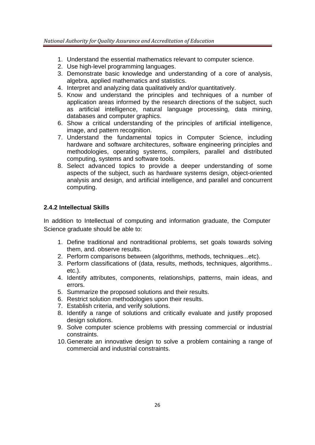- 1. Understand the essential mathematics relevant to computer science.
- 2. Use high-level programming languages.
- 3. Demonstrate basic knowledge and understanding of a core of analysis, algebra, applied mathematics and statistics.
- 4. Interpret and analyzing data qualitatively and/or quantitatively.
- 5. Know and understand the principles and techniques of a number of application areas informed by the research directions of the subject, such as artificial intelligence, natural language processing, data mining, databases and computer graphics.
- 6. Show a critical understanding of the principles of artificial intelligence, image, and pattern recognition.
- 7. Understand the fundamental topics in Computer Science, including hardware and software architectures, software engineering principles and methodologies, operating systems, compilers, parallel and distributed computing, systems and software tools.
- 8. Select advanced topics to provide a deeper understanding of some aspects of the subject, such as hardware systems design, object-oriented analysis and design, and artificial intelligence, and parallel and concurrent computing.

#### **2.4.2 Intellectual Skills**

In addition to Intellectual of computing and information graduate, the Computer Science graduate should be able to:

- 1. Define traditional and nontraditional problems, set goals towards solving them, and. observe results.
- 2. Perform comparisons between (algorithms, methods, techniques...etc).
- 3. Perform classifications of (data, results, methods, techniques, algorithms.. etc.).
- 4. Identify attributes, components, relationships, patterns, main ideas, and errors.
- 5. Summarize the proposed solutions and their results.
- 6. Restrict solution methodologies upon their results.
- 7. Establish criteria, and verify solutions.
- 8. Identify a range of solutions and critically evaluate and justify proposed design solutions.
- 9. Solve computer science problems with pressing commercial or industrial constraints.
- 10. Generate an innovative design to solve a problem containing a range of commercial and industrial constraints.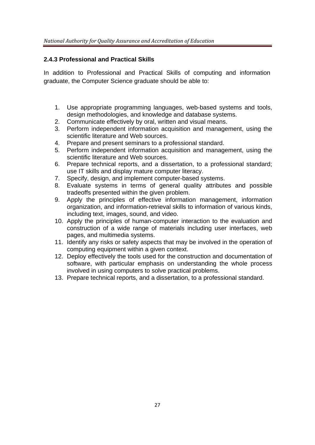#### **2.4.3 Professional and Practical Skills**

In addition to Professional and Practical Skills of computing and information graduate, the Computer Science graduate should be able to:

- 1. Use appropriate programming languages, web-based systems and tools, design methodologies, and knowledge and database systems.
- 2. Communicate effectively by oral, written and visual means.
- 3. Perform independent information acquisition and management, using the scientific literature and Web sources.
- 4. Prepare and present seminars to a professional standard.
- 5. Perform independent information acquisition and management, using the scientific literature and Web sources.
- 6. Prepare technical reports, and a dissertation, to a professional standard; use IT skills and display mature computer literacy.
- 7. Specify, design, and implement computer-based systems.
- 8. Evaluate systems in terms of general quality attributes and possible tradeoffs presented within the given problem.
- 9. Apply the principles of effective information management, information organization, and information-retrieval skills to information of various kinds, including text, images, sound, and video.
- 10. Apply the principles of human-computer interaction to the evaluation and construction of a wide range of materials including user interfaces, web pages, and multimedia systems.
- 11. Identify any risks or safety aspects that may be involved in the operation of computing equipment within a given context.
- 12. Deploy effectively the tools used for the construction and documentation of software, with particular emphasis on understanding the whole process involved in using computers to solve practical problems.
- 13. Prepare technical reports, and a dissertation, to a professional standard.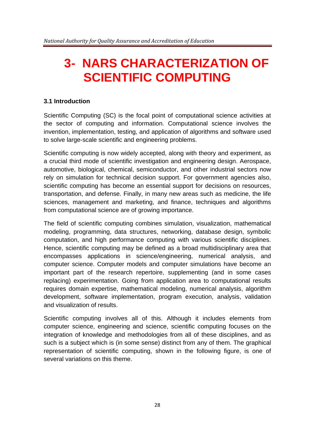# **3- NARS CHARACTERIZATION OF SCIENTIFIC COMPUTING**

#### **3.1 Introduction**

Scientific Computing (SC) is the focal point of computational science activities at the sector of computing and information. Computational science involves the invention, implementation, testing, and application of algorithms and software used to solve large-scale scientific and engineering problems.

Scientific computing is now widely accepted, along with theory and experiment, as a crucial third mode of scientific investigation and engineering design. Aerospace, automotive, biological, chemical, semiconductor, and other industrial sectors now rely on simulation for technical decision support. For government agencies also, scientific computing has become an essential support for decisions on resources, transportation, and defense. Finally, in many new areas such as medicine, the life sciences, management and marketing, and finance, techniques and algorithms from computational science are of growing importance.

The field of scientific computing combines simulation, visualization, mathematical modeling, programming, data structures, networking, database design, symbolic computation, and high performance computing with various scientific disciplines. Hence, scientific computing may be defined as a broad multidisciplinary area that encompasses applications in science/engineering, numerical analysis, and computer science. Computer models and computer simulations have become an important part of the research repertoire, supplementing (and in some cases replacing) experimentation. Going from application area to computational results requires domain expertise, mathematical modeling, numerical analysis, algorithm development, software implementation, program execution, analysis, validation and visualization of results.

Scientific computing involves all of this. Although it includes elements from computer science, engineering and science, scientific computing focuses on the integration of knowledge and methodologies from all of these disciplines, and as such is a subject which is (in some sense) distinct from any of them. The graphical representation of scientific computing, shown in the following figure, is one of several variations on this theme.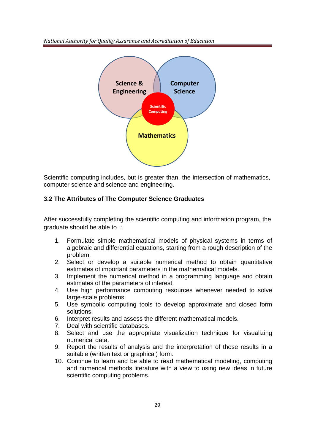*National Authority for Quality Assurance and Accreditation of Education* 

![](_page_28_Figure_1.jpeg)

Scientific computing includes, but is greater than, the intersection of mathematics, computer science and science and engineering.

#### **3.2 The Attributes of The Computer Science Graduates**

After successfully completing the scientific computing and information program, the graduate should be able to :

- 1. Formulate simple mathematical models of physical systems in terms of algebraic and differential equations, starting from a rough description of the problem.
- 2. Select or develop a suitable numerical method to obtain quantitative estimates of important parameters in the mathematical models.
- 3. Implement the numerical method in a programming language and obtain estimates of the parameters of interest.
- 4. Use high performance computing resources whenever needed to solve large-scale problems.
- 5. Use symbolic computing tools to develop approximate and closed form solutions.
- 6. Interpret results and assess the different mathematical models.
- 7. Deal with scientific databases.
- 8. Select and use the appropriate visualization technique for visualizing numerical data.
- 9. Report the results of analysis and the interpretation of those results in a suitable (written text or graphical) form.
- 10. Continue to learn and be able to read mathematical modeling, computing and numerical methods literature with a view to using new ideas in future scientific computing problems.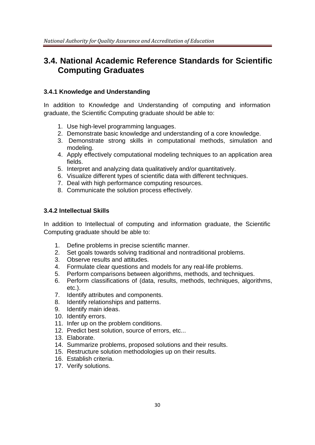# **3.4. National Academic Reference Standards for Scientific Computing Graduates**

#### **3.4.1 Knowledge and Understanding**

In addition to Knowledge and Understanding of computing and information graduate, the Scientific Computing graduate should be able to:

- 1. Use high-level programming languages.
- 2. Demonstrate basic knowledge and understanding of a core knowledge.
- 3. Demonstrate strong skills in computational methods, simulation and modeling.
- 4. Apply effectively computational modeling techniques to an application area fields.
- 5. Interpret and analyzing data qualitatively and/or quantitatively.
- 6. Visualize different types of scientific data with different techniques.
- 7. Deal with high performance computing resources.
- 8. Communicate the solution process effectively.

#### **3.4.2 Intellectual Skills**

In addition to Intellectual of computing and information graduate, the Scientific Computing graduate should be able to:

- 1. Define problems in precise scientific manner.
- 2. Set goals towards solving traditional and nontraditional problems.
- 3. Observe results and attitudes.
- 4. Formulate clear questions and models for any real-life problems.
- 5. Perform comparisons between algorithms, methods, and techniques.
- 6. Perform classifications of (data, results, methods, techniques, algorithms, etc.).
- 7. Identify attributes and components.
- 8. Identify relationships and patterns.
- 9. Identify main ideas.
- 10. Identify errors.
- 11. Infer up on the problem conditions.
- 12. Predict best solution, source of errors, etc...
- 13. Elaborate.
- 14. Summarize problems, proposed solutions and their results.
- 15. Restructure solution methodologies up on their results.
- 16. Establish criteria.
- 17. Verify solutions.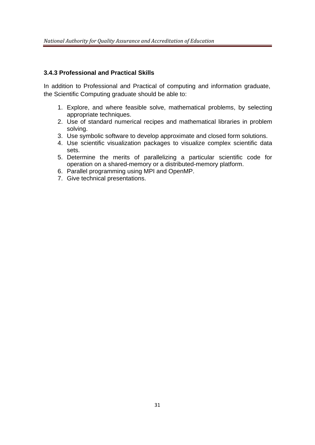#### **3.4.3 Professional and Practical Skills**

In addition to Professional and Practical of computing and information graduate, the Scientific Computing graduate should be able to:

- 1. Explore, and where feasible solve, mathematical problems, by selecting appropriate techniques.
- 2. Use of standard numerical recipes and mathematical libraries in problem solving.
- 3. Use symbolic software to develop approximate and closed form solutions.
- 4. Use scientific visualization packages to visualize complex scientific data sets.
- 5. Determine the merits of parallelizing a particular scientific code for operation on a shared-memory or a distributed-memory platform.
- 6. Parallel programming using MPI and OpenMP.
- 7. Give technical presentations.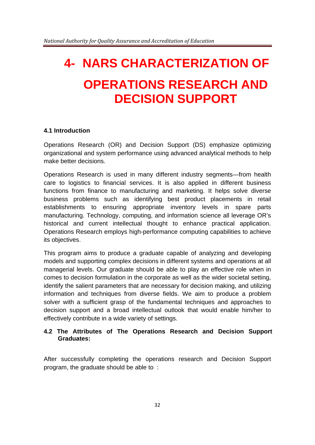# **4- NARS CHARACTERIZATION OF OPERATIONS RESEARCH AND DECISION SUPPORT**

#### **4.1 Introduction**

Operations Research (OR) and Decision Support (DS) emphasize optimizing organizational and system performance using advanced analytical methods to help make better decisions.

Operations Research is used in many different industry segments—from health care to logistics to financial services. It is also applied in different business functions from finance to manufacturing and marketing. It helps solve diverse business problems such as identifying best product placements in retail establishments to ensuring appropriate inventory levels in spare parts manufacturing. Technology, computing, and information science all leverage OR's historical and current intellectual thought to enhance practical application. Operations Research employs high-performance computing capabilities to achieve its objectives.

This program aims to produce a graduate capable of analyzing and developing models and supporting complex decisions in different systems and operations at all managerial levels. Our graduate should be able to play an effective role when in comes to decision formulation in the corporate as well as the wider societal setting, identify the salient parameters that are necessary for decision making, and utilizing information and techniques from diverse fields. We aim to produce a problem solver with a sufficient grasp of the fundamental techniques and approaches to decision support and a broad intellectual outlook that would enable him/her to effectively contribute in a wide variety of settings.

#### **4.2 The Attributes of The Operations Research and Decision Support Graduates:**

After successfully completing the operations research and Decision Support program, the graduate should be able to :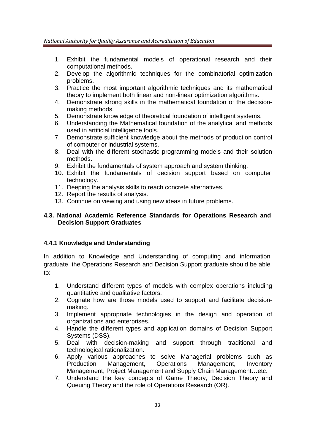- 1. Exhibit the fundamental models of operational research and their computational methods.
- 2. Develop the algorithmic techniques for the combinatorial optimization problems.
- 3. Practice the most important algorithmic techniques and its mathematical theory to implement both linear and non-linear optimization algorithms.
- 4. Demonstrate strong skills in the mathematical foundation of the decisionmaking methods.
- 5. Demonstrate knowledge of theoretical foundation of intelligent systems.
- 6. Understanding the Mathematical foundation of the analytical and methods used in artificial intelligence tools.
- 7. Demonstrate sufficient knowledge about the methods of production control of computer or industrial systems.
- 8. Deal with the different stochastic programming models and their solution methods.
- 9. Exhibit the fundamentals of system approach and system thinking.
- 10. Exhibit the fundamentals of decision support based on computer technology.
- 11. Deeping the analysis skills to reach concrete alternatives.
- 12. Report the results of analysis.
- 13. Continue on viewing and using new ideas in future problems.

#### **4.3. National Academic Reference Standards for Operations Research and Decision Support Graduates**

#### **4.4.1 Knowledge and Understanding**

In addition to Knowledge and Understanding of computing and information graduate, the Operations Research and Decision Support graduate should be able to:

- 1. Understand different types of models with complex operations including quantitative and qualitative factors.
- 2. Cognate how are those models used to support and facilitate decisionmaking.
- 3. Implement appropriate technologies in the design and operation of organizations and enterprises.
- 4. Handle the different types and application domains of Decision Support Systems (DSS).
- 5. Deal with decision-making and support through traditional and technological rationalization.
- 6. Apply various approaches to solve Managerial problems such as Production Management, Operations Management, Inventory Management, Project Management and Supply Chain Management…etc.
- 7. Understand the key concepts of Game Theory, Decision Theory and Queuing Theory and the role of Operations Research (OR).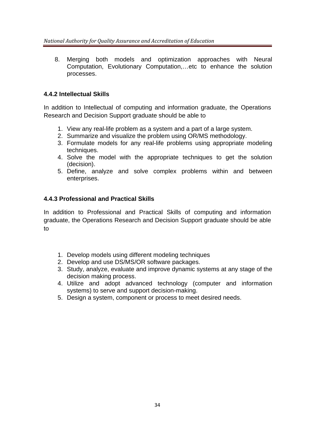8. Merging both models and optimization approaches with Neural Computation, Evolutionary Computation,…etc to enhance the solution processes.

#### **4.4.2 Intellectual Skills**

In addition to Intellectual of computing and information graduate, the Operations Research and Decision Support graduate should be able to

- 1. View any real-life problem as a system and a part of a large system.
- 2. Summarize and visualize the problem using OR/MS methodology.
- 3. Formulate models for any real-life problems using appropriate modeling techniques.
- 4. Solve the model with the appropriate techniques to get the solution (decision).
- 5. Define, analyze and solve complex problems within and between enterprises.

#### **4.4.3 Professional and Practical Skills**

In addition to Professional and Practical Skills of computing and information graduate, the Operations Research and Decision Support graduate should be able to

- 1. Develop models using different modeling techniques
- 2. Develop and use DS/MS/OR software packages.
- 3. Study, analyze, evaluate and improve dynamic systems at any stage of the decision making process.
- 4. Utilize and adopt advanced technology (computer and information systems) to serve and support decision-making.
- 5. Design a system, component or process to meet desired needs.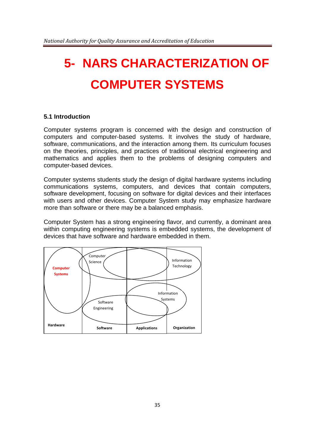# **5- NARS CHARACTERIZATION OF COMPUTER SYSTEMS**

#### **5.1 Introduction**

Computer systems program is concerned with the design and construction of computers and computer-based systems. It involves the study of hardware, software, communications, and the interaction among them. Its curriculum focuses on the theories, principles, and practices of traditional electrical engineering and mathematics and applies them to the problems of designing computers and computer-based devices.

Computer systems students study the design of digital hardware systems including communications systems, computers, and devices that contain computers, software development, focusing on software for digital devices and their interfaces with users and other devices. Computer System study may emphasize hardware more than software or there may be a balanced emphasis.

Computer System has a strong engineering flavor, and currently, a dominant area within computing engineering systems is embedded systems, the development of devices that have software and hardware embedded in them.

![](_page_34_Figure_6.jpeg)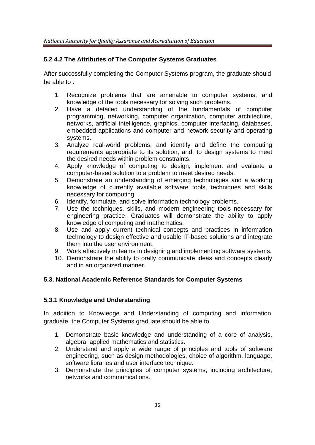#### **5.2 4.2 The Attributes of The Computer Systems Graduates**

After successfully completing the Computer Systems program, the graduate should be able to :

- 1. Recognize problems that are amenable to computer systems, and knowledge of the tools necessary for solving such problems.
- 2. Have a detailed understanding of the fundamentals of computer programming, networking, computer organization, computer architecture, networks, artificial intelligence, graphics, computer interfacing, databases, embedded applications and computer and network security and operating systems.
- 3. Analyze real-world problems, and identify and define the computing requirements appropriate to its solution, and. to design systems to meet the desired needs within problem constraints.
- 4. Apply knowledge of computing to design, implement and evaluate a computer-based solution to a problem to meet desired needs.
- 5. Demonstrate an understanding of emerging technologies and a working knowledge of currently available software tools, techniques and skills necessary for computing.
- 6. Identify, formulate, and solve information technology problems.
- 7. Use the techniques, skills, and modern engineering tools necessary for engineering practice. Graduates will demonstrate the ability to apply knowledge of computing and mathematics.
- 8. Use and apply current technical concepts and practices in information technology to design effective and usable IT-based solutions and integrate them into the user environment.
- 9. Work effectively in teams in designing and implementing software systems.
- 10. Demonstrate the ability to orally communicate ideas and concepts clearly and in an organized manner.

#### **5.3. National Academic Reference Standards for Computer Systems**

#### **5.3.1 Knowledge and Understanding**

In addition to Knowledge and Understanding of computing and information graduate, the Computer Systems graduate should be able to

- 1. Demonstrate basic knowledge and understanding of a core of analysis, algebra, applied mathematics and statistics.
- 2. Understand and apply a wide range of principles and tools of software engineering, such as design methodologies, choice of algorithm, language, software libraries and user interface technique.
- 3. Demonstrate the principles of computer systems, including architecture, networks and communications.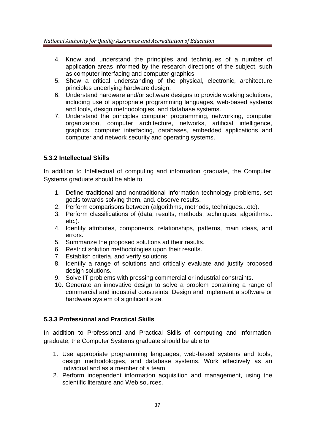- 4. Know and understand the principles and techniques of a number of application areas informed by the research directions of the subject, such as computer interfacing and computer graphics.
- 5. Show a critical understanding of the physical, electronic, architecture principles underlying hardware design.
- 6. Understand hardware and/or software designs to provide working solutions, including use of appropriate programming languages, web-based systems and tools, design methodologies, and database systems.
- 7. Understand the principles computer programming, networking, computer organization, computer architecture, networks, artificial intelligence, graphics, computer interfacing, databases, embedded applications and computer and network security and operating systems.

#### **5.3.2 Intellectual Skills**

In addition to Intellectual of computing and information graduate, the Computer Systems graduate should be able to

- 1. Define traditional and nontraditional information technology problems, set goals towards solving them, and. observe results.
- 2. Perform comparisons between (algorithms, methods, techniques...etc).
- 3. Perform classifications of (data, results, methods, techniques, algorithms.. etc.).
- 4. Identify attributes, components, relationships, patterns, main ideas, and errors.
- 5. Summarize the proposed solutions ad their results.
- 6. Restrict solution methodologies upon their results.
- 7. Establish criteria, and verify solutions.
- 8. Identify a range of solutions and critically evaluate and justify proposed design solutions.
- 9. Solve IT problems with pressing commercial or industrial constraints.
- 10. Generate an innovative design to solve a problem containing a range of commercial and industrial constraints. Design and implement a software or hardware system of significant size.

#### **5.3.3 Professional and Practical Skills**

In addition to Professional and Practical Skills of computing and information graduate, the Computer Systems graduate should be able to

- 1. Use appropriate programming languages, web-based systems and tools, design methodologies, and database systems. Work effectively as an individual and as a member of a team.
- 2. Perform independent information acquisition and management, using the scientific literature and Web sources.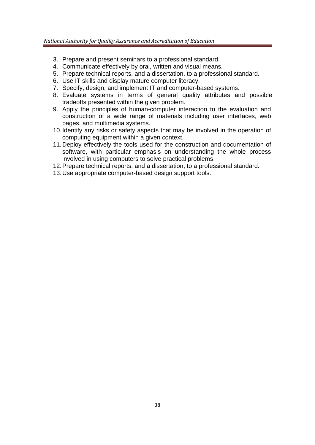- 3. Prepare and present seminars to a professional standard.
- 4. Communicate effectively by oral, written and visual means.
- 5. Prepare technical reports, and a dissertation, to a professional standard.
- 6. Use IT skills and display mature computer literacy.
- 7. Specify, design, and implement IT and computer-based systems.
- 8. Evaluate systems in terms of general quality attributes and possible tradeoffs presented within the given problem.
- 9. Apply the principles of human-computer interaction to the evaluation and construction of a wide range of materials including user interfaces, web pages, and multimedia systems.
- 10. Identify any risks or safety aspects that may be involved in the operation of computing equipment within a given context.
- 11. Deploy effectively the tools used for the construction and documentation of software, with particular emphasis on understanding the whole process involved in using computers to solve practical problems.
- 12. Prepare technical reports, and a dissertation, to a professional standard.
- 13. Use appropriate computer-based design support tools.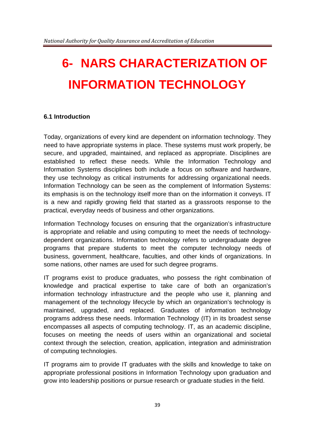# **6- NARS CHARACTERIZATION OF INFORMATION TECHNOLOGY**

#### **6.1 Introduction**

Today, organizations of every kind are dependent on information technology. They need to have appropriate systems in place. These systems must work properly, be secure, and upgraded, maintained, and replaced as appropriate. Disciplines are established to reflect these needs. While the Information Technology and Information Systems disciplines both include a focus on software and hardware, they use technology as critical instruments for addressing organizational needs. Information Technology can be seen as the complement of Information Systems: its emphasis is on the technology itself more than on the information it conveys. IT is a new and rapidly growing field that started as a grassroots response to the practical, everyday needs of business and other organizations.

Information Technology focuses on ensuring that the organization's infrastructure is appropriate and reliable and using computing to meet the needs of technologydependent organizations. Information technology refers to undergraduate degree programs that prepare students to meet the computer technology needs of business, government, healthcare, faculties, and other kinds of organizations. In some nations, other names are used for such degree programs.

IT programs exist to produce graduates, who possess the right combination of knowledge and practical expertise to take care of both an organization's information technology infrastructure and the people who use it, planning and management of the technology lifecycle by which an organization's technology is maintained, upgraded, and replaced. Graduates of information technology programs address these needs. Information Technology (IT) in its broadest sense encompasses all aspects of computing technology. IT, as an academic discipline, focuses on meeting the needs of users within an organizational and societal context through the selection, creation, application, integration and administration of computing technologies.

IT programs aim to provide IT graduates with the skills and knowledge to take on appropriate professional positions in Information Technology upon graduation and grow into leadership positions or pursue research or graduate studies in the field.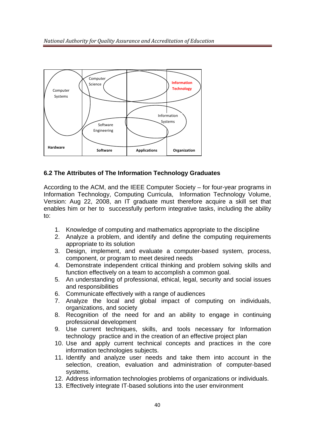![](_page_39_Figure_1.jpeg)

#### **6.2 The Attributes of The Information Technology Graduates**

According to the ACM, and the IEEE Computer Society – for four-year programs in Information Technology, Computing Curricula, Information Technology Volume, Version: Aug 22, 2008, an IT graduate must therefore acquire a skill set that enables him or her to successfully perform integrative tasks, including the ability to:

- 1. Knowledge of computing and mathematics appropriate to the discipline
- 2. Analyze a problem, and identify and define the computing requirements appropriate to its solution
- 3. Design, implement, and evaluate a computer-based system, process, component, or program to meet desired needs
- 4. Demonstrate independent critical thinking and problem solving skills and function effectively on a team to accomplish a common goal.
- 5. An understanding of professional, ethical, legal, security and social issues and responsibilities
- 6. Communicate effectively with a range of audiences
- 7. Analyze the local and global impact of computing on individuals, organizations, and society
- 8. Recognition of the need for and an ability to engage in continuing professional development
- 9. Use current techniques, skills, and tools necessary for Information technology practice and in the creation of an effective project plan
- 10. Use and apply current technical concepts and practices in the core information technologies subjects.
- 11. Identify and analyze user needs and take them into account in the selection, creation, evaluation and administration of computer-based systems.
- 12. Address information technologies problems of organizations or individuals.
- 13. Effectively integrate IT-based solutions into the user environment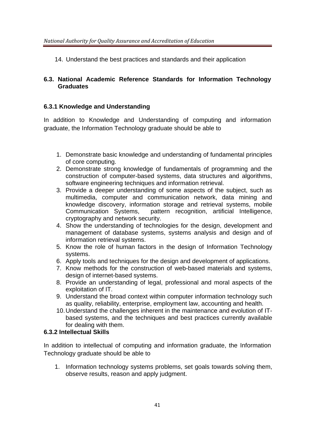14. Understand the best practices and standards and their application

#### **6.3. National Academic Reference Standards for Information Technology Graduates**

#### **6.3.1 Knowledge and Understanding**

In addition to Knowledge and Understanding of computing and information graduate, the Information Technology graduate should be able to

- 1. Demonstrate basic knowledge and understanding of fundamental principles of core computing.
- 2. Demonstrate strong knowledge of fundamentals of programming and the construction of computer-based systems, data structures and algorithms, software engineering techniques and information retrieval.
- 3. Provide a deeper understanding of some aspects of the subject, such as multimedia, computer and communication network, data mining and knowledge discovery, information storage and retrieval systems, mobile Communication Systems, pattern recognition, artificial Intelligence, cryptography and network security.
- 4. Show the understanding of technologies for the design, development and management of database systems, systems analysis and design and of information retrieval systems.
- 5. Know the role of human factors in the design of Information Technology systems.
- 6. Apply tools and techniques for the design and development of applications.
- 7. Know methods for the construction of web-based materials and systems, design of internet-based systems.
- 8. Provide an understanding of legal, professional and moral aspects of the exploitation of IT.
- 9. Understand the broad context within computer information technology such as quality, reliability, enterprise, employment law, accounting and health.
- 10. Understand the challenges inherent in the maintenance and evolution of ITbased systems, and the techniques and best practices currently available for dealing with them.

#### **6.3.2 Intellectual Skills**

In addition to intellectual of computing and information graduate, the Information Technology graduate should be able to

1. Information technology systems problems, set goals towards solving them, observe results, reason and apply judgment.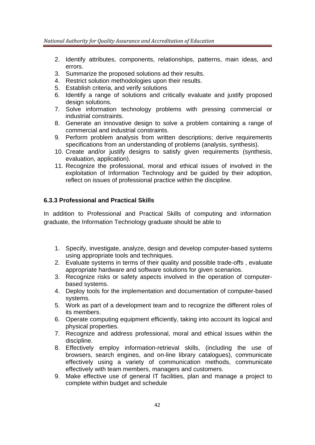- 2. Identify attributes, components, relationships, patterns, main ideas, and errors.
- 3. Summarize the proposed solutions ad their results.
- 4. Restrict solution methodologies upon their results.
- 5. Establish criteria, and verify solutions
- 6. Identify a range of solutions and critically evaluate and justify proposed design solutions.
- 7. Solve information technology problems with pressing commercial or industrial constraints.
- 8. Generate an innovative design to solve a problem containing a range of commercial and industrial constraints.
- 9. Perform problem analysis from written descriptions; derive requirements specifications from an understanding of problems (analysis, synthesis).
- 10. Create and/or justify designs to satisfy given requirements (synthesis, evaluation, application).
- 11. Recognize the professional, moral and ethical issues of involved in the exploitation of Information Technology and be guided by their adoption, reflect on issues of professional practice within the discipline.

#### **6.3.3 Professional and Practical Skills**

In addition to Professional and Practical Skills of computing and information graduate, the Information Technology graduate should be able to

- 1. Specify, investigate, analyze, design and develop computer-based systems using appropriate tools and techniques.
- 2. Evaluate systems in terms of their quality and possible trade-offs , evaluate appropriate hardware and software solutions for given scenarios.
- 3. Recognize risks or safety aspects involved in the operation of computerbased systems.
- 4. Deploy tools for the implementation and documentation of computer-based systems.
- 5. Work as part of a development team and to recognize the different roles of its members.
- 6. Operate computing equipment efficiently, taking into account its logical and physical properties.
- 7. Recognize and address professional, moral and ethical issues within the discipline.
- 8. Effectively employ information-retrieval skills, (including the use of browsers, search engines, and on-line library catalogues), communicate effectively using a variety of communication methods, communicate effectively with team members, managers and customers.
- 9. Make effective use of general IT facilities, plan and manage a project to complete within budget and schedule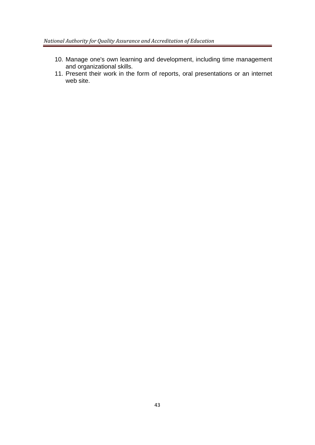- 10. Manage one's own learning and development, including time management and organizational skills.
- 11. Present their work in the form of reports, oral presentations or an internet web site.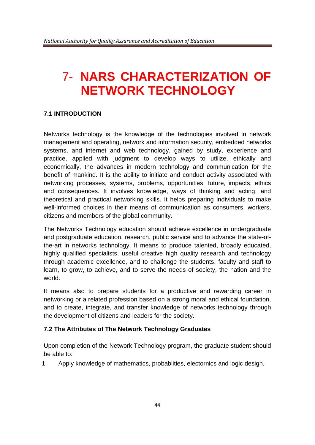# 7- **NARS CHARACTERIZATION OF NETWORK TECHNOLOGY**

#### **7.1 INTRODUCTION**

Networks technology is the knowledge of the technologies involved in network management and operating, network and information security, embedded networks systems, and internet and web technology, gained by study, experience and practice, applied with judgment to develop ways to utilize, ethically and economically, the advances in modern technology and communication for the benefit of mankind. It is the ability to initiate and conduct activity associated with networking processes, systems, problems, opportunities, future, impacts, ethics and consequences. It involves knowledge, ways of thinking and acting, and theoretical and practical networking skills. It helps preparing individuals to make well-informed choices in their means of communication as consumers, workers, citizens and members of the global community.

The Networks Technology education should achieve excellence in undergraduate and postgraduate education, research, public service and to advance the state-ofthe-art in networks technology. It means to produce talented, broadly educated, highly qualified specialists, useful creative high quality research and technology through academic excellence, and to challenge the students, faculty and staff to learn, to grow, to achieve, and to serve the needs of society, the nation and the world.

It means also to prepare students for a productive and rewarding career in networking or a related profession based on a strong moral and ethical foundation, and to create, integrate, and transfer knowledge of networks technology through the development of citizens and leaders for the society.

#### **7.2 The Attributes of The Network Technology Graduates**

Upon completion of the Network Technology program, the graduate student should be able to:

1. Apply knowledge of mathematics, probablities, electornics and logic design.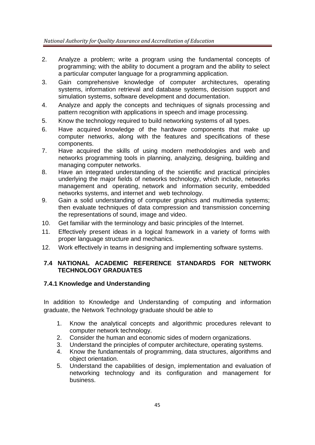- 2. Analyze a problem; write a program using the fundamental concepts of programming; with the ability to document a program and the ability to select a particular computer language for a programming application.
- 3. Gain comprehensive knowledge of computer architectures, operating systems, information retrieval and database systems, decision support and simulation systems, software development and documentation.
- 4. Analyze and apply the concepts and techniques of signals processing and pattern recognition with applications in speech and image processing.
- 5. Know the technology required to build networking systems of all types.
- 6. Have acquired knowledge of the hardware components that make up computer networks, along with the features and specifications of these components.
- 7. Have acquired the skills of using modern methodologies and web and networks programming tools in planning, analyzing, designing, building and managing computer networks.
- 8. Have an integrated understanding of the scientific and practical principles underlying the major fields of networks technology, which include, networks management and operating, network and information security, embedded networks systems, and internet and web technology.
- 9. Gain a solid understanding of computer graphics and multimedia systems; then evaluate techniques of data compression and transmission concerning the representations of sound, image and video.
- 10. Get familiar with the terminology and basic principles of the Internet.
- 11. Effectively present ideas in a logical framework in a variety of forms with proper language structure and mechanics.
- 12. Work effectively in teams in designing and implementing software systems.

#### **7.4 NATIONAL ACADEMIC REFERENCE STANDARDS FOR NETWORK TECHNOLOGY GRADUATES**

#### **7.4.1 Knowledge and Understanding**

In addition to Knowledge and Understanding of computing and information graduate, the Network Technology graduate should be able to

- 1. Know the analytical concepts and algorithmic procedures relevant to computer network technology.
- 2. Consider the human and economic sides of modern organizations.
- 3. Understand the principles of computer architecture, operating systems.
- 4. Know the fundamentals of programming, data structures, algorithms and object orientation.
- 5. Understand the capabilities of design, implementation and evaluation of networking technology and its configuration and management for business.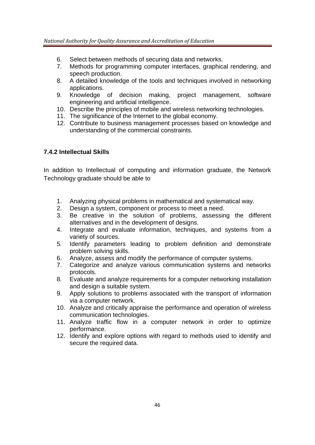- 6. Select between methods of securing data and networks.
- 7. Methods for programming computer interfaces, graphical rendering, and speech production.
- 8. A detailed knowledge of the tools and techniques involved in networking applications.
- 9. Knowledge of decision making, project management, software engineering and artificial intelligence.
- 10. Describe the principles of mobile and wireless networking technologies.
- 11. The significance of the Internet to the global economy.
- 12. Contribute to business management processes based on knowledge and understanding of the commercial constraints.

#### **7.4.2 Intellectual Skills**

In addition to Intellectual of computing and information graduate, the Network Technology graduate should be able to

- 1. Analyzing physical problems in mathematical and systematical way.
- 2. Design a system, component or process to meet a need.
- 3. Be creative in the solution of problems, assessing the different alternatives and in the development of designs.
- 4. Integrate and evaluate information, techniques, and systems from a variety of sources.
- 5. Identify parameters leading to problem definition and demonstrate problem solving skills.
- 6. Analyze, assess and modify the performance of computer systems.
- 7. Categorize and analyze various communication systems and networks protocols.
- 8. Evaluate and analyze requirements for a computer networking installation and design a suitable system.
- 9. Apply solutions to problems associated with the transport of information via a computer network.
- 10. Analyze and critically appraise the performance and operation of wireless communication technologies.
- 11. Analyze traffic flow in a computer network in order to optimize performance.
- 12. Identify and explore options with regard to methods used to identify and secure the required data.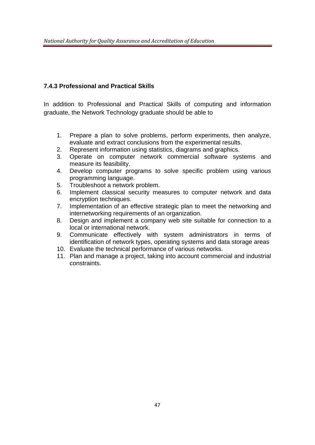#### **7.4.3 Professional and Practical Skills**

In addition to Professional and Practical Skills of computing and information graduate, the Network Technology graduate should be able to

- 1. Prepare a plan to solve problems, perform experiments, then analyze, evaluate and extract conclusions from the experimental results.
- 2. Represent information using statistics, diagrams and graphics.
- 3. Operate on computer network commercial software systems and measure its feasibility.
- 4. Develop computer programs to solve specific problem using various programming language.
- 5. Troubleshoot a network problem.
- 6. Implement classical security measures to computer network and data encryption techniques.
- 7. Implementation of an effective strategic plan to meet the networking and internetworking requirements of an organization.
- 8. Design and implement a company web site suitable for connection to a local or international network.
- 9. Communicate effectively with system administrators in terms of identification of network types, operating systems and data storage areas
- 10. Evaluate the technical performance of various networks.
- 11. Plan and manage a project, taking into account commercial and industrial constraints.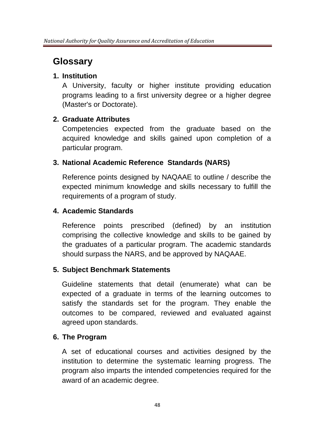# **Glossary**

## **1. Institution**

A University, faculty or higher institute providing education programs leading to a first university degree or a higher degree (Master's or Doctorate).

# **2. Graduate Attributes**

Competencies expected from the graduate based on the acquired knowledge and skills gained upon completion of a particular program.

# **3. National Academic Reference Standards (NARS)**

Reference points designed by NAQAAE to outline / describe the expected minimum knowledge and skills necessary to fulfill the requirements of a program of study.

## **4. Academic Standards**

Reference points prescribed (defined) by an institution comprising the collective knowledge and skills to be gained by the graduates of a particular program. The academic standards should surpass the NARS, and be approved by NAQAAE.

# **5. Subject Benchmark Statements**

Guideline statements that detail (enumerate) what can be expected of a graduate in terms of the learning outcomes to satisfy the standards set for the program. They enable the outcomes to be compared, reviewed and evaluated against agreed upon standards.

# **6. The Program**

A set of educational courses and activities designed by the institution to determine the systematic learning progress. The program also imparts the intended competencies required for the award of an academic degree.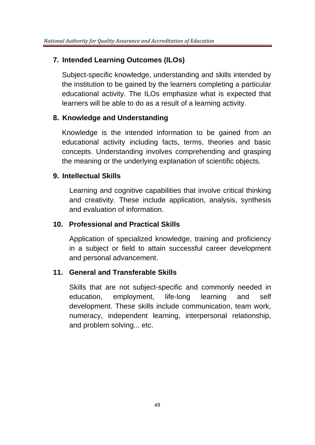## **7. Intended Learning Outcomes (ILOs)**

Subject-specific knowledge, understanding and skills intended by the institution to be gained by the learners completing a particular educational activity. The ILOs emphasize what is expected that learners will be able to do as a result of a learning activity.

### **8. Knowledge and Understanding**

Knowledge is the intended information to be gained from an educational activity including facts, terms, theories and basic concepts. Understanding involves comprehending and grasping the meaning or the underlying explanation of scientific objects.

### **9. Intellectual Skills**

Learning and cognitive capabilities that involve critical thinking and creativity. These include application, analysis, synthesis and evaluation of information.

### **10. Professional and Practical Skills**

Application of specialized knowledge, training and proficiency in a subject or field to attain successful career development and personal advancement.

### **11. General and Transferable Skills**

Skills that are not subject-specific and commonly needed in education, employment, life-long learning and self development. These skills include communication, team work, numeracy, independent learning, interpersonal relationship, and problem solving... etc.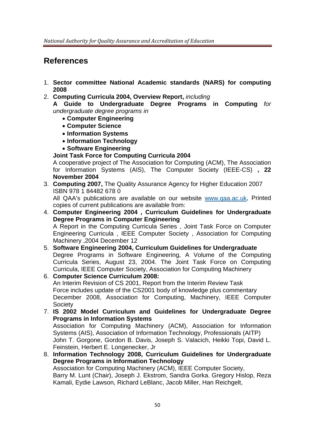# **References**

- 1. **Sector committee National Academic standards (NARS) for computing 2008**
- 2. **Computing Curricula 2004, Overview Report,** *including*

**A Guide to Undergraduate Degree Programs in Computing** *for undergraduate degree programs in* 

- **Computer Engineering**
- **Computer Science**
- **Information Systems**
- **Information Technology**
- **Software Engineering**

#### **Joint Task Force for Computing Curricula 2004**

A cooperative project of The Association for Computing (ACM), The Association for Information Systems (AIS), The Computer Society (IEEE-CS) **, 22 November 2004**

3. **Computing 2007,** The Quality Assurance Agency for Higher Education 2007 ISBN 978 1 84482 678 0

All QAA's publications are available on our website www.qaa.ac.uk, Printed copies of current publications are available from:

- 4. **Computer Engineering 2004 , Curriculum Guidelines for Undergraduate Degree Programs in Computer Engineering**  A Report in the Computing Curricula Series , Joint Task Force on Computer Engineering Curricula , IEEE Computer Society , Association for Computing Machinery ,2004 December 12
- 5. **Software Engineering 2004, Curriculum Guidelines for Undergraduate**  Degree Programs in Software Engineering, A Volume of the Computing Curricula Series, August 23, 2004. The Joint Task Force on Computing Curricula, IEEE Computer Society, Association for Computing Machinery
- 6. **Computer Science Curriculum 2008:**  An Interim Revision of CS 2001, Report from the Interim Review Task Force includes update of the CS2001 body of knowledge plus commentary December 2008, Association for Computing, Machinery, IEEE Computer Society
- 7. **IS 2002 Model Curriculum and Guidelines for Undergraduate Degree Programs in Information Systems**  Association for Computing Machinery (ACM), Association for Information

Systems (AIS), Association of Information Technology, Professionals (AITP) John T. Gorgone, Gordon B. Davis, Joseph S. Valacich, Heikki Topi, David L. Feinstein, Herbert E. Longenecker, Jr

8. **Information Technology 2008, Curriculum Guidelines for Undergraduate Degree Programs in Information Technology**  Association for Computing Machinery (ACM), IEEE Computer Society, Barry M. Lunt (Chair), Joseph J. Ekstrom, Sandra Gorka. Gregory Hislop, Reza Kamali, Eydie Lawson, Richard LeBlanc, Jacob Miller, Han Reichgelt,